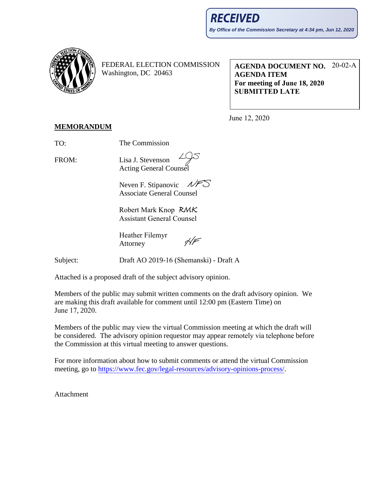

FEDERAL ELECTION COMMISSION Washington, DC 20463

**AGENDA DOCUMENT NO.**  20-02-A **AGENDA ITEM For meeting of June 18, 2020 SUBMITTED LATE**

June 12, 2020

## **MEMORANDUM**

TO: The Commission

FROM: Lisa J. Stevenson Acting General Counsel

> Neven F. Stipanovic  $\mathcal{M}$ Associate General Counsel

Robert Mark Knop Assistant General Counsel

Heather Filemyr  $\frac{1}{2}$ Attorney

Draft AO 2019-16 (Shemanski) - Draft A

Attached is a proposed draft of the subject advisory opinion.

Members of the public may submit written comments on the draft advisory opinion. We are making this draft available for comment until 12:00 pm (Eastern Time) on June 17, 2020.

Members of the public may view the virtual Commission meeting at which the draft will be considered. The advisory opinion requestor may appear remotely via telephone before the Commission at this virtual meeting to answer questions.

For more information about how to submit comments or attend the virtual Commission meet[ing, go to https://www.fec.gov/legal-resources/advisory-opinions-](https://www.fec.gov/legal-resources/advisory-opinions-process/)process/.

Attachment

Subject: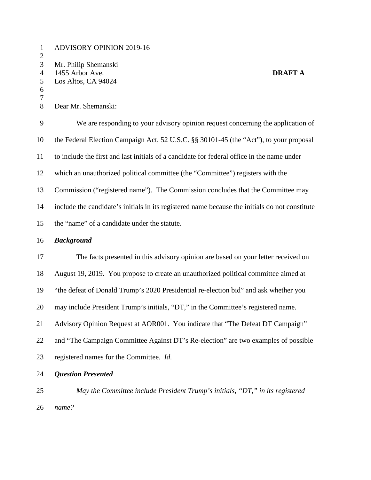| $\mathbf{1}$<br>$\mathbf{2}$                               | <b>ADVISORY OPINION 2019-16</b>                                                                |
|------------------------------------------------------------|------------------------------------------------------------------------------------------------|
| 3<br>$\overline{4}$<br>$\sqrt{5}$<br>6<br>$\boldsymbol{7}$ | Mr. Philip Shemanski<br>1455 Arbor Ave.<br><b>DRAFT A</b><br>Los Altos, CA 94024               |
| 8                                                          | Dear Mr. Shemanski:                                                                            |
| $\boldsymbol{9}$                                           | We are responding to your advisory opinion request concerning the application of               |
| 10                                                         | the Federal Election Campaign Act, 52 U.S.C. §§ 30101-45 (the "Act"), to your proposal         |
| 11                                                         | to include the first and last initials of a candidate for federal office in the name under     |
| 12                                                         | which an unauthorized political committee (the "Committee") registers with the                 |
| 13                                                         | Commission ("registered name"). The Commission concludes that the Committee may                |
| 14                                                         | include the candidate's initials in its registered name because the initials do not constitute |
| 15                                                         | the "name" of a candidate under the statute.                                                   |
| 16                                                         | <b>Background</b>                                                                              |
| 17                                                         | The facts presented in this advisory opinion are based on your letter received on              |
| 18                                                         | August 19, 2019. You propose to create an unauthorized political committee aimed at            |
| 19                                                         | "the defeat of Donald Trump's 2020 Presidential re-election bid" and ask whether you           |
| 20                                                         | may include President Trump's initials, "DT," in the Committee's registered name.              |
| 21                                                         | Advisory Opinion Request at AOR001. You indicate that "The Defeat DT Campaign"                 |
| 22                                                         | and "The Campaign Committee Against DT's Re-election" are two examples of possible             |
| 23                                                         | registered names for the Committee. Id.                                                        |
| 24                                                         | <b>Question Presented</b>                                                                      |
| 25                                                         | May the Committee include President Trump's initials, "DT," in its registered                  |

26 *name?*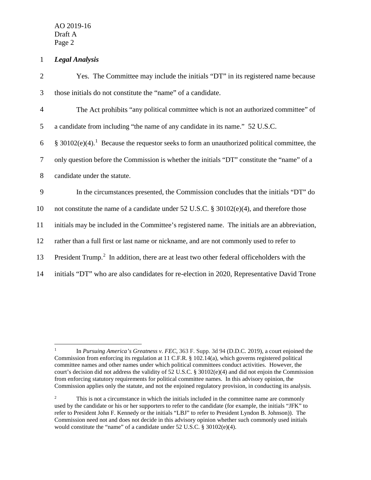AO 2019-16 Draft A Page 2

## 1 *Legal Analysis*

| $\overline{2}$ | Yes. The Committee may include the initials "DT" in its registered name because                          |
|----------------|----------------------------------------------------------------------------------------------------------|
| 3              | those initials do not constitute the "name" of a candidate.                                              |
| $\overline{4}$ | The Act prohibits "any political committee which is not an authorized committee" of                      |
| 5              | a candidate from including "the name of any candidate in its name." 52 U.S.C.                            |
| 6              | § 30102(e)(4). <sup>1</sup> Because the requestor seeks to form an unauthorized political committee, the |
| $\overline{7}$ | only question before the Commission is whether the initials "DT" constitute the "name" of a              |
| $8\,$          | candidate under the statute.                                                                             |
| 9              | In the circumstances presented, the Commission concludes that the initials "DT" do                       |
| 10             | not constitute the name of a candidate under 52 U.S.C. § 30102(e)(4), and therefore those                |
| 11             | initials may be included in the Committee's registered name. The initials are an abbreviation,           |
| 12             | rather than a full first or last name or nickname, and are not commonly used to refer to                 |
| 13             | President Trump. <sup>2</sup> In addition, there are at least two other federal officeholders with the   |
| 14             | initials "DT" who are also candidates for re-election in 2020, Representative David Trone                |

<span id="page-2-0"></span><sup>&</sup>lt;sup>1</sup> In *Pursuing America's Greatness v. FEC*, 363 F. Supp. 3d 94 (D.D.C. 2019), a court enjoined the Commission from enforcing its regulation at 11 C.F.R. § 102.14(a), which governs registered political committee names and other names under which political committees conduct activities. However, the court's decision did not address the validity of 52 U.S.C. § 30102(e)(4) and did not enjoin the Commission from enforcing statutory requirements for political committee names. In this advisory opinion, the Commission applies only the statute, and not the enjoined regulatory provision, in conducting its analysis.

<span id="page-2-1"></span><sup>&</sup>lt;sup>2</sup> This is not a circumstance in which the initials included in the committee name are commonly used by the candidate or his or her supporters to refer to the candidate (for example, the initials "JFK" to refer to President John F. Kennedy or the initials "LBJ" to refer to President Lyndon B. Johnson)). The Commission need not and does not decide in this advisory opinion whether such commonly used initials would constitute the "name" of a candidate under 52 U.S.C. § 30102(e)(4).